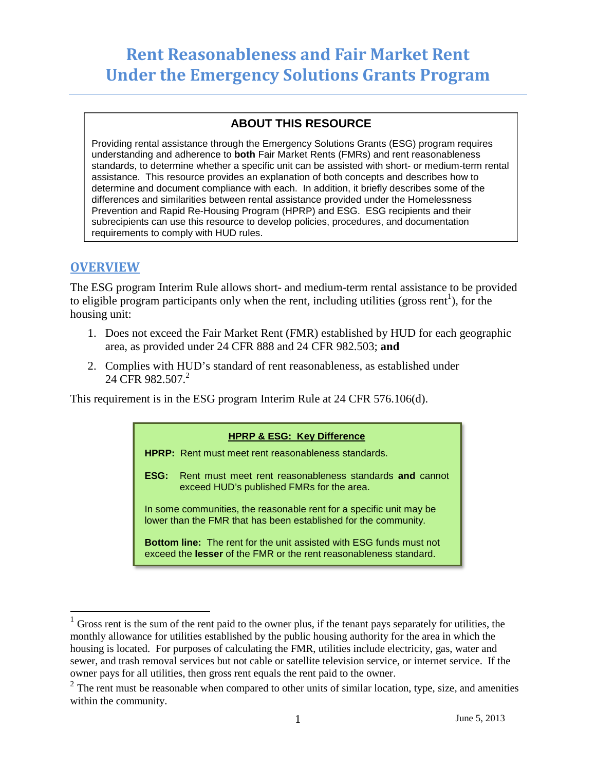# **Rent Reasonableness and Fair Market Rent Under the Emergency Solutions Grants Program**

## **ABOUT THIS RESOURCE**

Providing rental assistance through the Emergency Solutions Grants (ESG) program requires understanding and adherence to **both** Fair Market Rents (FMRs) and rent reasonableness standards, to determine whether a specific unit can be assisted with short- or medium-term rental assistance. This resource provides an explanation of both concepts and describes how to determine and document compliance with each. In addition, it briefly describes some of the differences and similarities between rental assistance provided under the Homelessness Prevention and Rapid Re-Housing Program (HPRP) and ESG. ESG recipients and their subrecipients can use this resource to develop policies, procedures, and documentation requirements to comply with HUD rules.

## **OVERVIEW**

The ESG program Interim Rule allows short- and medium-term rental assistance to be provided to eligible program participants only when the rent, including utilities (gross rent<sup>[1](#page-0-0)</sup>), for the housing unit:

- 1. Does not exceed the Fair Market Rent (FMR) established by HUD for each geographic area, as provided under 24 CFR 888 and 24 CFR 982.503; **and**
- 2. Complies with HUD's standard of rent reasonableness, as established under 24 CFR 982.507.<sup>2</sup>

This requirement is in the ESG program Interim Rule at 24 CFR 576.106(d).

#### **HPRP & ESG: Key Difference**

**HPRP:** Rent must meet rent reasonableness standards.

**ESG:** Rent must meet rent reasonableness standards **and** cannot exceed HUD's published FMRs for the area.

In some communities, the reasonable rent for a specific unit may be lower than the FMR that has been established for the community.

**Bottom line:** The rent for the unit assisted with ESG funds must not exceed the **lesser** of the FMR or the rent reasonableness standard.

<span id="page-0-0"></span> $1$  Gross rent is the sum of the rent paid to the owner plus, if the tenant pays separately for utilities, the monthly allowance for utilities established by the public housing authority for the area in which the housing is located. For purposes of calculating the FMR, utilities include electricity, gas, water and sewer, and trash removal services but not cable or satellite television service, or internet service. If the owner pays for all utilities, then gross rent equals the rent paid to the owner.

<span id="page-0-1"></span> $2$  The rent must be reasonable when compared to other units of similar location, type, size, and amenities within the community.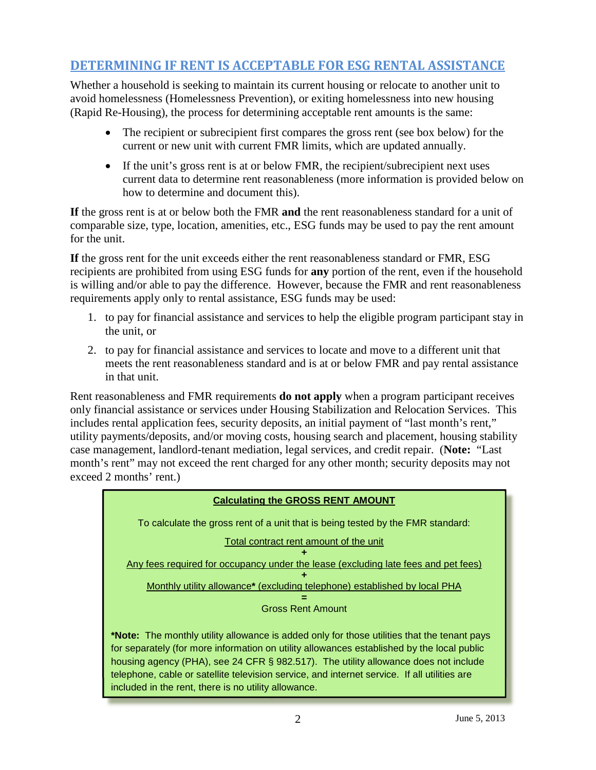## **DETERMINING IF RENT IS ACCEPTABLE FOR ESG RENTAL ASSISTANCE**

Whether a household is seeking to maintain its current housing or relocate to another unit to avoid homelessness (Homelessness Prevention), or exiting homelessness into new housing (Rapid Re-Housing), the process for determining acceptable rent amounts is the same:

- The recipient or subrecipient first compares the gross rent (see box below) for the current or new unit with current FMR limits, which are updated annually.
- If the unit's gross rent is at or below FMR, the recipient/subrecipient next uses current data to determine rent reasonableness (more information is provided below on how to determine and document this).

**If** the gross rent is at or below both the FMR **and** the rent reasonableness standard for a unit of comparable size, type, location, amenities, etc., ESG funds may be used to pay the rent amount for the unit.

**If** the gross rent for the unit exceeds either the rent reasonableness standard or FMR, ESG recipients are prohibited from using ESG funds for **any** portion of the rent, even if the household is willing and/or able to pay the difference. However, because the FMR and rent reasonableness requirements apply only to rental assistance, ESG funds may be used:

- 1. to pay for financial assistance and services to help the eligible program participant stay in the unit, or
- 2. to pay for financial assistance and services to locate and move to a different unit that meets the rent reasonableness standard and is at or below FMR and pay rental assistance in that unit.

Rent reasonableness and FMR requirements **do not apply** when a program participant receives only financial assistance or services under Housing Stabilization and Relocation Services. This includes rental application fees, security deposits, an initial payment of "last month's rent," utility payments/deposits, and/or moving costs, housing search and placement, housing stability case management, landlord-tenant mediation, legal services, and credit repair. (**Note:** "Last month's rent" may not exceed the rent charged for any other month; security deposits may not exceed 2 months' rent.)

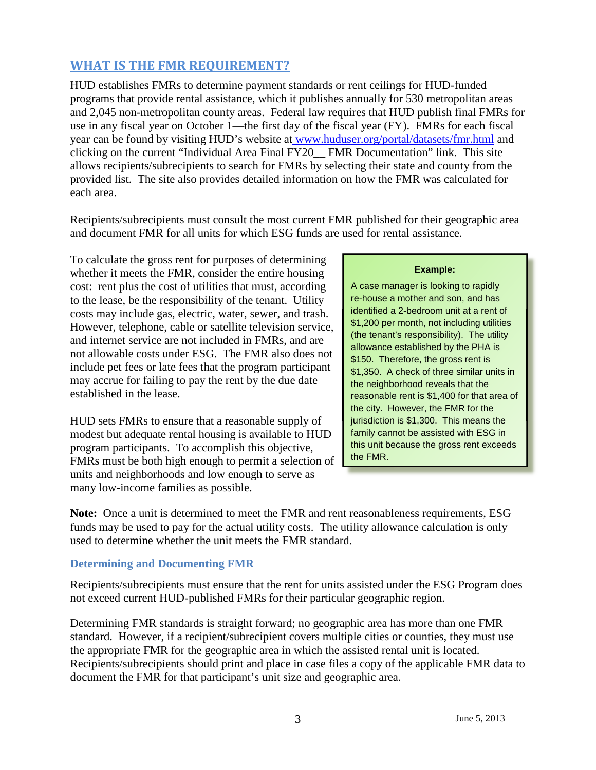## **WHAT IS THE FMR REQUIREMENT?**

HUD establishes FMRs to determine payment standards or rent ceilings for HUD-funded programs that provide rental assistance, which it publishes annually for 530 metropolitan areas and 2,045 non-metropolitan county areas. Federal law requires that HUD publish final FMRs for use in any fiscal year on October 1—the first day of the fiscal year (FY). FMRs for each fiscal year can be found by visiting HUD's website at www.huduser.org/portal/datasets/fmr.html and clicking on the current "Individual Area Final FY20\_\_ FMR Documentation" link. This site allows recipients/subrecipients to search for FMRs by selecting their state and county from the provided list. The site also provides detailed information on how the FMR was calculated for each area.

Recipients/subrecipients must consult the most current FMR published for their geographic area and document FMR for all units for which ESG funds are used for rental assistance.

To calculate the gross rent for purposes of determining whether it meets the FMR, consider the entire housing **Example:** cost: rent plus the cost of utilities that must, according  $\overrightarrow{A}$  case manager is looking to rapidly to the lease, be the responsibility of the tenant. Utility **re-house a mother and son, and has**<br>costs may include gas, electric, water, sower, and trach **identified a 2-bedroom unit at a rent of** costs may include gas, electric, water, sewer, and trash.<br>However, telephone, cable or satellite television service,<br>and internet service are not included in FMRs, and are<br>not allowable costs under ESG. The FMR also does n may accrue for failing to pay the rent by the due date the neighborhood reveals that the established in the lease.

HUD sets FMRs to ensure that a reasonable supply of **jurisdiction is \$1,300.** This means the modest but adequate rental housing is available to HUD **family cannot be assisted with ESG in** modest but adequate rental housing is available to HUD **family cannot be assisted with ESG in**<br>morth program participants. To accomplish this objective program participants. To accomplish this objective, this unit because the FMRs must be both high enough to permit a selection of the FMR. units and neighborhoods and low enough to serve as many low-income families as possible.

reasonable rent is \$1,400 for that area of the city. However, the FMR for the

**Note:** Once a unit is determined to meet the FMR and rent reasonableness requirements, ESG funds may be used to pay for the actual utility costs. The utility allowance calculation is only used to determine whether the unit meets the FMR standard.

### **Determining and Documenting FMR**

Recipients/subrecipients must ensure that the rent for units assisted under the ESG Program does not exceed current HUD-published FMRs for their particular geographic region.

Determining FMR standards is straight forward; no geographic area has more than one FMR standard. However, if a recipient/subrecipient covers multiple cities or counties, they must use the appropriate FMR for the geographic area in which the assisted rental unit is located. Recipients/subrecipients should print and place in case files a copy of the applicable FMR data to document the FMR for that participant's unit size and geographic area.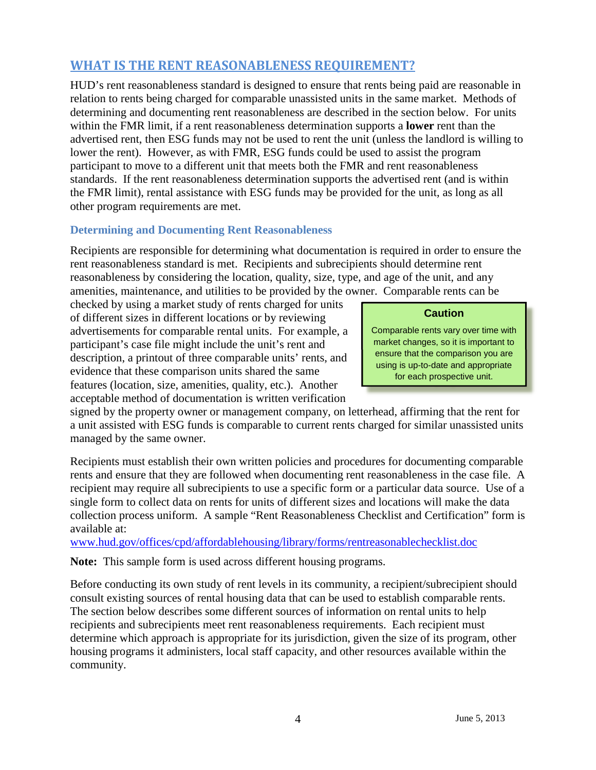## **WHAT IS THE RENT REASONABLENESS REQUIREMENT?**

HUD's rent reasonableness standard is designed to ensure that rents being paid are reasonable in relation to rents being charged for comparable unassisted units in the same market. Methods of determining and documenting rent reasonableness are described in the section below. For units within the FMR limit, if a rent reasonableness determination supports a **lower** rent than the advertised rent, then ESG funds may not be used to rent the unit (unless the landlord is willing to lower the rent). However, as with FMR, ESG funds could be used to assist the program participant to move to a different unit that meets both the FMR and rent reasonableness standards. If the rent reasonableness determination supports the advertised rent (and is within the FMR limit), rental assistance with ESG funds may be provided for the unit, as long as all other program requirements are met.

## **Determining and Documenting Rent Reasonableness**

Recipients are responsible for determining what documentation is required in order to ensure the rent reasonableness standard is met. Recipients and subrecipients should determine rent reasonableness by considering the location, quality, size, type, and age of the unit, and any amenities, maintenance, and utilities to be provided by the owner. Comparable rents can be

checked by using a market study of rents charged for units **Caution** of different sizes in different locations or by reviewing advertisements for comparable rental units. For example, a **Comparable rents vary over time with**<br>narticipant's case file might include the unit's rent and<br>market changes, so it is important to participant's case file might include the unit's rent and<br>description, a printout of three comparable units' rents, and<br>evidence that these comparison units shared the same<br>for each prospective unit. features (location, size, amenities, quality, etc.). Another acceptable method of documentation is written verification

signed by the property owner or management company, on letterhead, affirming that the rent for a unit assisted with ESG funds is comparable to current rents charged for similar unassisted units managed by the same owner.

Recipients must establish their own written policies and procedures for documenting comparable rents and ensure that they are followed when documenting rent reasonableness in the case file. A recipient may require all subrecipients to use a specific form or a particular data source. Use of a single form to collect data on rents for units of different sizes and locations will make the data collection process uniform. A sample "Rent Reasonableness Checklist and Certification" form is available at:

[www.hud.gov/offices/cpd/affordablehousing/library/forms/rentreasonablechecklist.doc](http://www.hud.gov/offices/cpd/affordablehousing/library/forms/rentreasonablechecklist.doc)

**Note:** This sample form is used across different housing programs.

Before conducting its own study of rent levels in its community, a recipient/subrecipient should consult existing sources of rental housing data that can be used to establish comparable rents. The section below describes some different sources of information on rental units to help recipients and subrecipients meet rent reasonableness requirements. Each recipient must determine which approach is appropriate for its jurisdiction, given the size of its program, other housing programs it administers, local staff capacity, and other resources available within the community.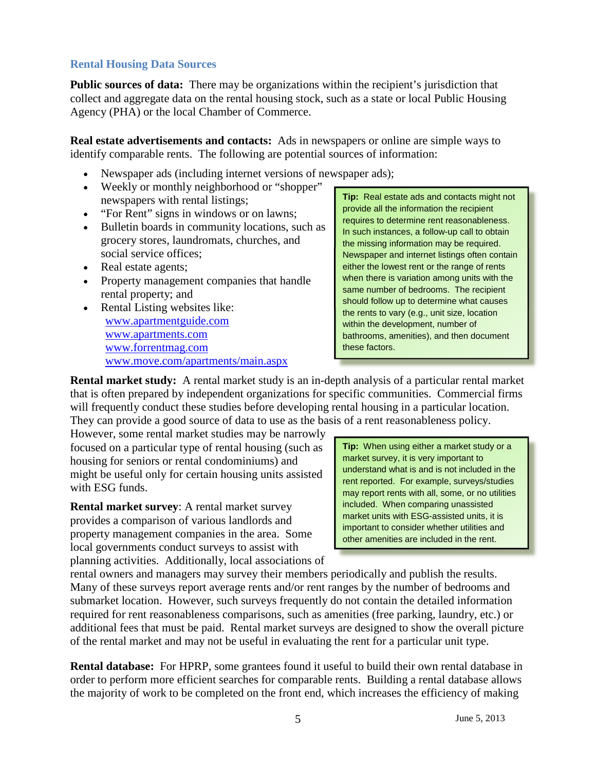## **Rental Housing Data Sources**

**Public sources of data:** There may be organizations within the recipient's jurisdiction that collect and aggregate data on the rental housing stock, such as a state or local Public Housing Agency (PHA) or the local Chamber of Commerce.

**Real estate advertisements and contacts:** Ads in newspapers or online are simple ways to identify comparable rents. The following are potential sources of information:

- Newspaper ads (including internet versions of newspaper ads);
- 
- 
- grocery stores, laundromats, churches, and<br>social service offices:<br>Newspaper and internet listings often con
- 
- 
- [www.apartmentguide.com](http://www.apartmentguide.com/) www.apartments.com www.apartments.com bathrooms. amenities), and then do [www.forrentmag.com](http://www.forrentmag.com/) between these factors. www.move.com/apartments/main.aspx

• Weekly or monthly neighborhood or "shopper"<br>
Tip: Real estate ads and contacts might not<br>
• "For Rent" signs in windows or on lawns;<br>
• Bulletin boards in community locations, such as<br>
In such instances, a follow-up call Newspaper and internet listings often contain Real estate agents;<br>
Property management companies that handle<br>
when there is variation among units with the • Property management companies that handle<br>
rental property; and<br>
Rental Listing websites like:<br>
Rental Listing websites like:<br>
ame number of bedrooms. The recipient<br>
should follow up to determine what causes<br>
the rents t bathrooms, amenities), and then document

**Rental market study:** A rental market study is an in-depth analysis of a particular rental market that is often prepared by independent organizations for specific communities. Commercial firms will frequently conduct these studies before developing rental housing in a particular location. They can provide a good source of data to use as the basis of a rent reasonableness policy.

However, some rental market studies may be narrowly focused on a particular type of rental housing (such as **Tip:** When using either a market study or a housing for seniors or rental condominiums) and housing for seniors or rental condominiums) and<br>might be useful only for certain housing units assisted<br>with ESG funds.<br>with ESG funds.

**Rental market survey:** A rental market survey<br>provides a comparison of various landlords and<br>property management companies in the area. Some<br>other amenities are included in the rent. local governments conduct surveys to assist with planning activities. Additionally, local associations of

rental owners and managers may survey their members periodically and publish the results. Many of these surveys report average rents and/or rent ranges by the number of bedrooms and submarket location. However, such surveys frequently do not contain the detailed information required for rent reasonableness comparisons, such as amenities (free parking, laundry, etc.) or additional fees that must be paid. Rental market surveys are designed to show the overall picture of the rental market and may not be useful in evaluating the rent for a particular unit type.

**Rental database:** For HPRP, some grantees found it useful to build their own rental database in order to perform more efficient searches for comparable rents. Building a rental database allows the majority of work to be completed on the front end, which increases the efficiency of making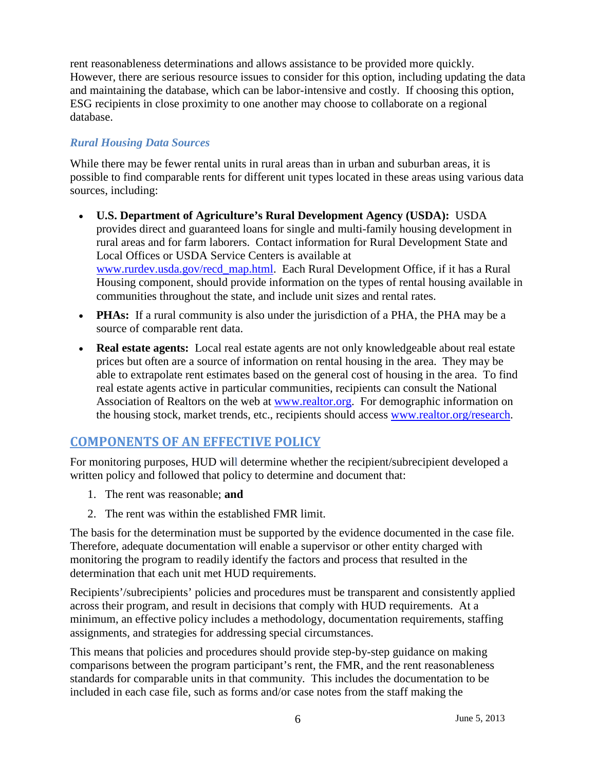rent reasonableness determinations and allows assistance to be provided more quickly. However, there are serious resource issues to consider for this option, including updating the data and maintaining the database, which can be labor-intensive and costly. If choosing this option, ESG recipients in close proximity to one another may choose to collaborate on a regional database.

## *Rural Housing Data Sources*

While there may be fewer rental units in rural areas than in urban and suburban areas, it is possible to find comparable rents for different unit types located in these areas using various data sources, including:

- **U.S. Department of Agriculture's Rural Development Agency (USDA):** USDA provides direct and guaranteed loans for single and multi-family housing development in rural areas and for farm laborers. Contact information for Rural Development State and Local Offices or USDA Service Centers is available at [www.rurdev.usda.gov/recd\\_map.html.](http://www.rurdev.usda.gov/recd_map.html) Each Rural Development Office, if it has a Rural Housing component, should provide information on the types of rental housing available in communities throughout the state, and include unit sizes and rental rates.
- **PHAs:** If a rural community is also under the jurisdiction of a PHA, the PHA may be a source of comparable rent data.
- **Real estate agents:** Local real estate agents are not only knowledgeable about real estate prices but often are a source of information on rental housing in the area. They may be able to extrapolate rent estimates based on the general cost of housing in the area. To find real estate agents active in particular communities, recipients can consult the National Association of Realtors on the web at [www.realtor.org](http://www.realtor.org/). For demographic information on the housing stock, market trends, etc., recipients should access [www.realtor.org/research](http://www.realtor.org/research).

## **COMPONENTS OF AN EFFECTIVE POLICY**

For monitoring purposes, HUD will determine whether the recipient/subrecipient developed a written policy and followed that policy to determine and document that:

- 1. The rent was reasonable; **and**
- 2. The rent was within the established FMR limit.

The basis for the determination must be supported by the evidence documented in the case file. Therefore, adequate documentation will enable a supervisor or other entity charged with monitoring the program to readily identify the factors and process that resulted in the determination that each unit met HUD requirements.

Recipients'/subrecipients' policies and procedures must be transparent and consistently applied across their program, and result in decisions that comply with HUD requirements. At a minimum, an effective policy includes a methodology, documentation requirements, staffing assignments, and strategies for addressing special circumstances.

This means that policies and procedures should provide step-by-step guidance on making comparisons between the program participant's rent, the FMR, and the rent reasonableness standards for comparable units in that community. This includes the documentation to be included in each case file, such as forms and/or case notes from the staff making the